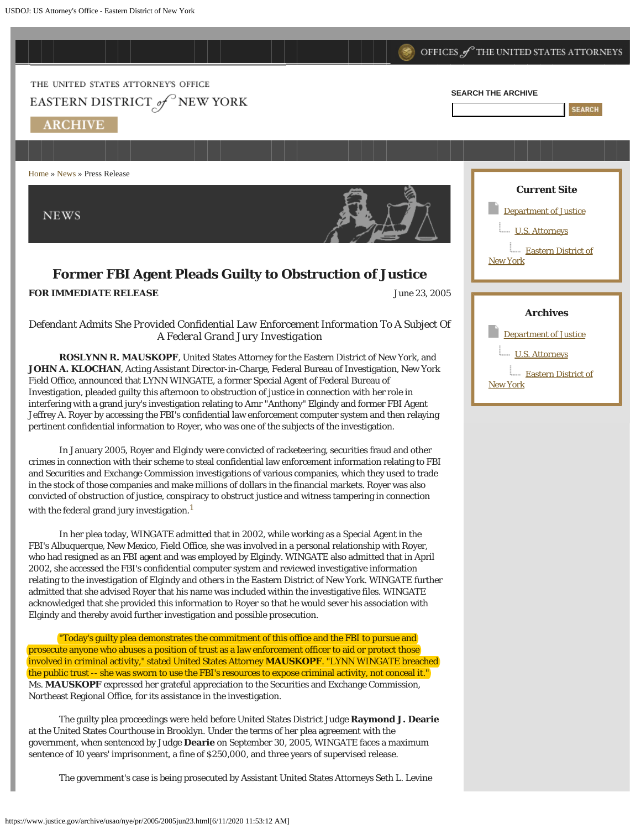

Northeast Regional Office, for its assistance in the investigation.

The guilty plea proceedings were held before United States District Judge **Raymond J. Dearie** at the United States Courthouse in Brooklyn. Under the terms of her plea agreement with the government, when sentenced by Judge **Dearie** on September 30, 2005, WINGATE faces a maximum sentence of 10 years' imprisonment, a fine of \$250,000, and three years of supervised release.

The government's case is being prosecuted by Assistant United States Attorneys Seth L. Levine